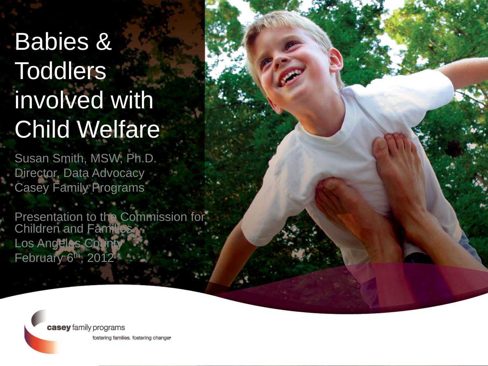## Babies & **Toddlers** involved with **Child Welfare**

Susan Smith, MSW, Ph.D. Director, Data Advocacy Casey Family Programs

Presentation to the Commission for Children and Families Los Angeles County February 6<sup>th</sup>, 2012

> casey family programs fostering families, fostering change.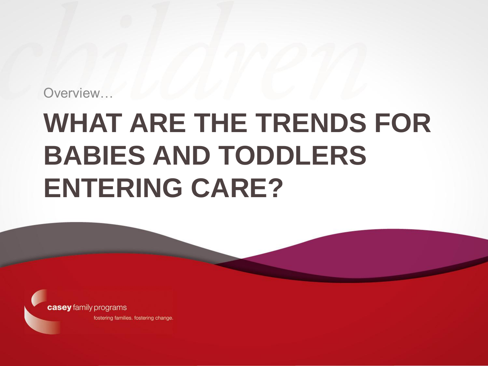Overview…

# **WHAT ARE THE TRENDS FOR BABIES AND TODDLERS ENTERING CARE?**

**casey** family programs fostering families. fostering change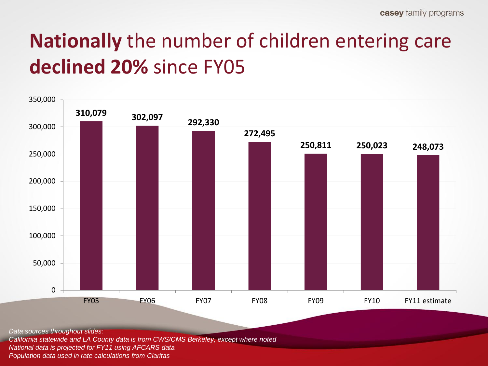#### **Nationally** the number of children entering care **declined 20%** since FY05



*Data sources throughout slides:*

*California statewide and LA County data is from CWS/CMS Berkeley, except where noted*

*National data is projected for FY11 using AFCARS data*

*Population data used in rate calculations from Claritas*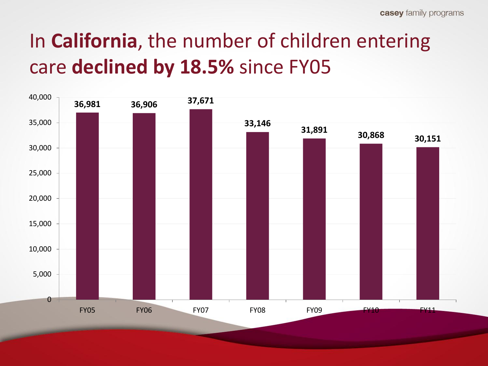#### In **California**, the number of children entering care **declined by 18.5%** since FY05

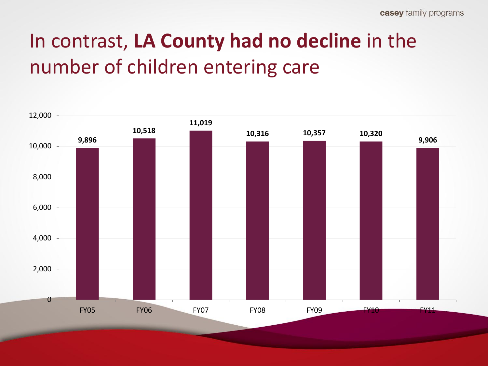#### In contrast, **LA County had no decline** in the number of children entering care

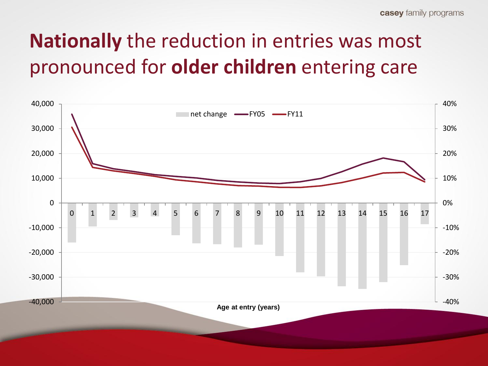#### **Nationally** the reduction in entries was most pronounced for **older children** entering care

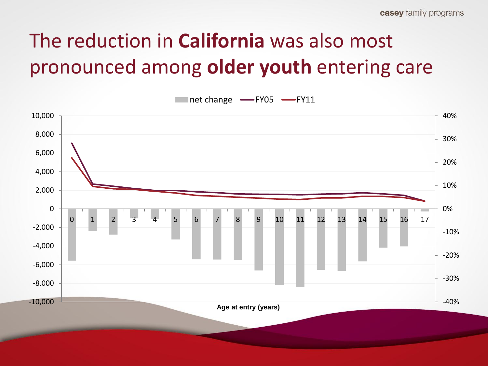#### The reduction in **California** was also most pronounced among **older youth** entering care

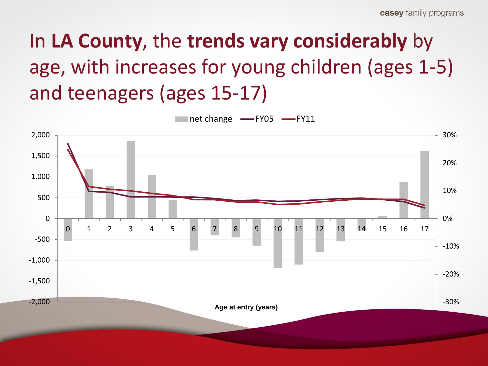### In **LA County**, the **trends vary considerably** by age, with increases for young children (ages 1-5) and teenagers (ages 15-17)

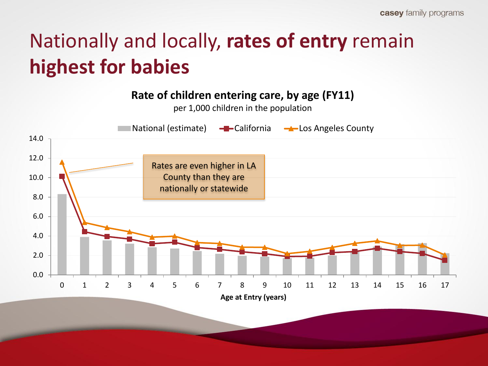#### Nationally and locally, **rates of entry** remain **highest for babies**

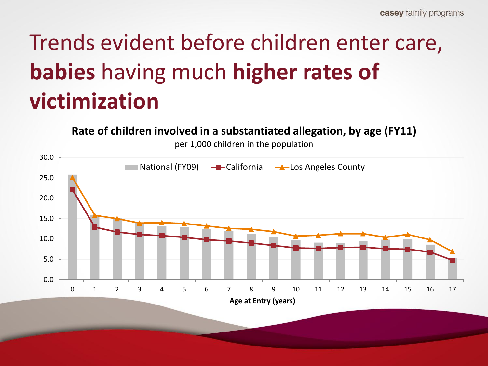## Trends evident before children enter care, **babies** having much **higher rates of victimization**

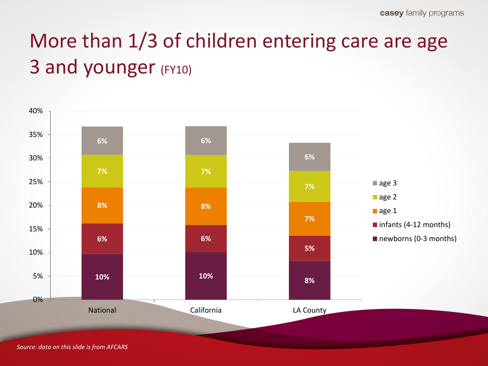### More than 1/3 of children entering care are age 3 and younger (FY10)



*Source: data on this slide is from AFCARS*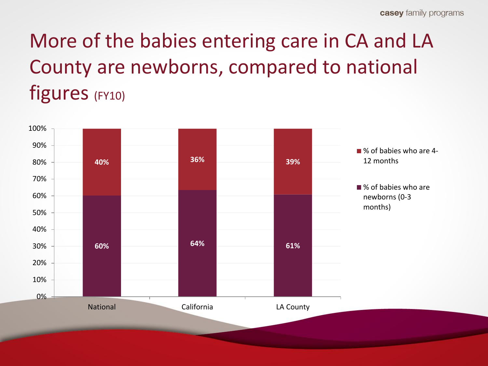### More of the babies entering care in CA and LA County are newborns, compared to national figures (FY10)

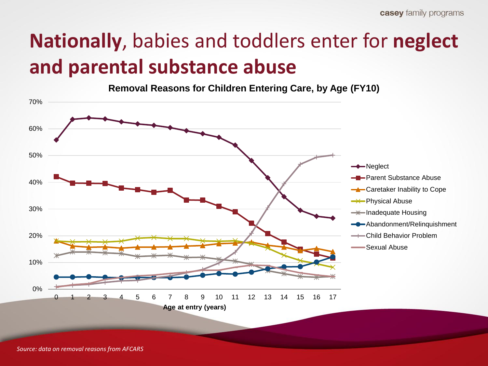#### **Nationally**, babies and toddlers enter for **neglect and parental substance abuse**

**Removal Reasons for Children Entering Care, by Age (FY10)**



*Source: data on removal reasons from AFCARS*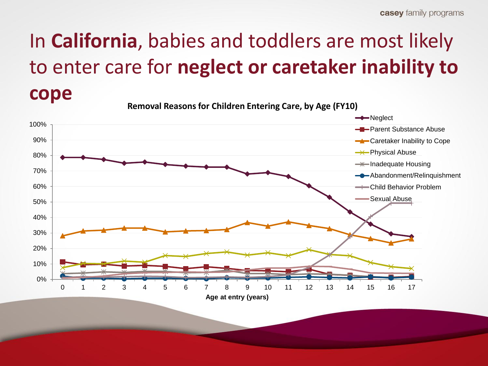#### In **California**, babies and toddlers are most likely to enter care for **neglect or caretaker inability to cope**

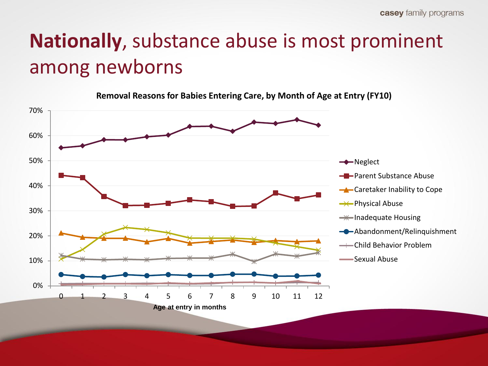#### **Nationally**, substance abuse is most prominent among newborns



**Removal Reasons for Babies Entering Care, by Month of Age at Entry (FY10)**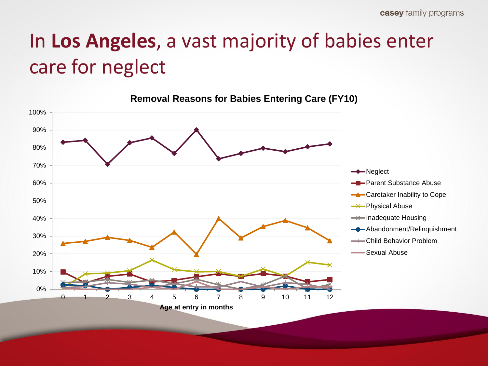#### In **Los Angeles**, a vast majority of babies enter care for neglect



**Removal Reasons for Babies Entering Care (FY10)**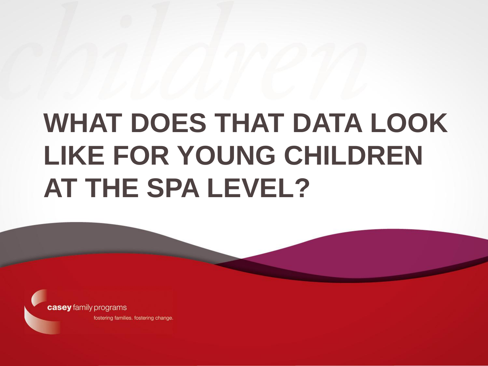# **WHAT DOES THAT DATA LOOK LIKE FOR YOUNG CHILDREN AT THE SPA LEVEL?**

casey tamily programs fostering families. fostering change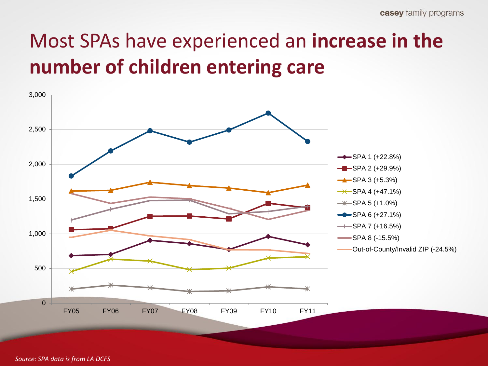#### Most SPAs have experienced an **increase in the number of children entering care**



*Source: SPA data is from LA DCFS*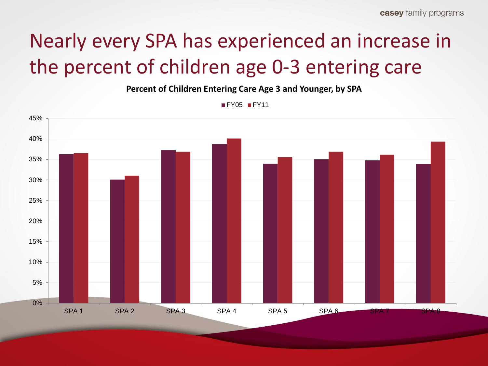#### Nearly every SPA has experienced an increase in the percent of children age 0-3 entering care

**Percent of Children Entering Care Age 3 and Younger, by SPA**

 $FY05$   $FY11$ 

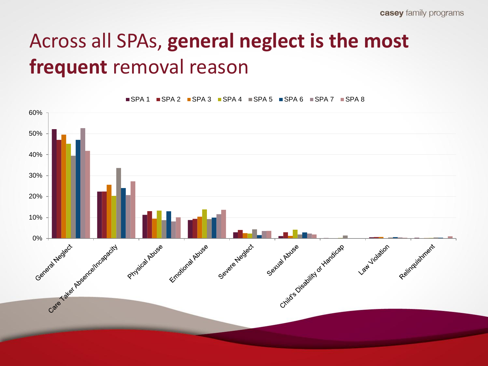#### Across all SPAs, **general neglect is the most frequent** removal reason



SPA 1 SPA 2 SPA 3 SPA 4 SPA 5 SPA 6 SPA 7 SPA 8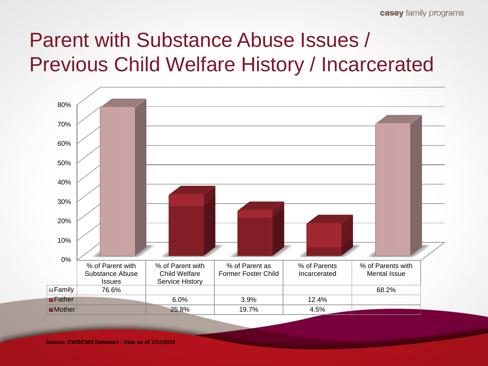#### Parent with Substance Abuse Issues / Previous Child Welfare History / Incarcerated

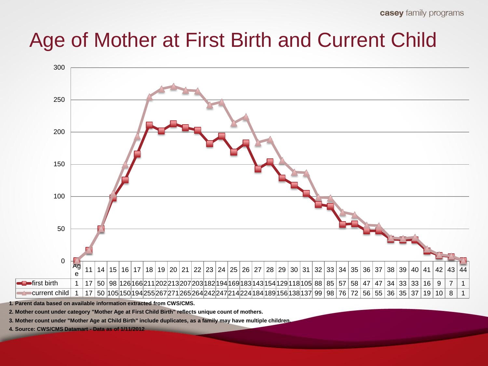#### Age of Mother at First Birth and Current Child



**1. Parent data based on available information extracted from CWS/CMS.**

**2. Mother count under category "Mother Age at First Child Birth" reflects unique count of mothers.**

**3. Mother count under "Mother Age at Child Birth" include duplicates, as a family may have multiple children.**

**4. Source: CWS/CMS Datamart - Data as of 1/11/2012**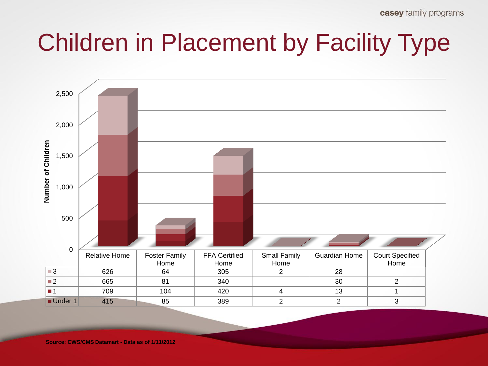casey family programs

## Children in Placement by Facility Type